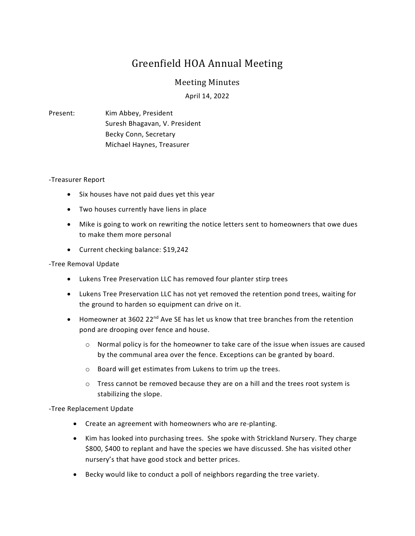# Greenfield HOA Annual Meeting

## Meeting Minutes

April 14, 2022

## Present: Kim Abbey, President Suresh Bhagavan, V. President Becky Conn, Secretary Michael Haynes, Treasurer

#### -Treasurer Report

- Six houses have not paid dues yet this year
- Two houses currently have liens in place
- Mike is going to work on rewriting the notice letters sent to homeowners that owe dues to make them more personal
- Current checking balance: \$19,242

### -Tree Removal Update

- Lukens Tree Preservation LLC has removed four planter stirp trees
- Lukens Tree Preservation LLC has not yet removed the retention pond trees, waiting for the ground to harden so equipment can drive on it.
- $\bullet$  Homeowner at 3602 22<sup>nd</sup> Ave SE has let us know that tree branches from the retention pond are drooping over fence and house.
	- $\circ$  Normal policy is for the homeowner to take care of the issue when issues are caused by the communal area over the fence. Exceptions can be granted by board.
	- o Board will get estimates from Lukens to trim up the trees.
	- $\circ$  Tress cannot be removed because they are on a hill and the trees root system is stabilizing the slope.

-Tree Replacement Update

- Create an agreement with homeowners who are re-planting.
- Kim has looked into purchasing trees. She spoke with Strickland Nursery. They charge \$800, \$400 to replant and have the species we have discussed. She has visited other nursery's that have good stock and better prices.
- Becky would like to conduct a poll of neighbors regarding the tree variety.